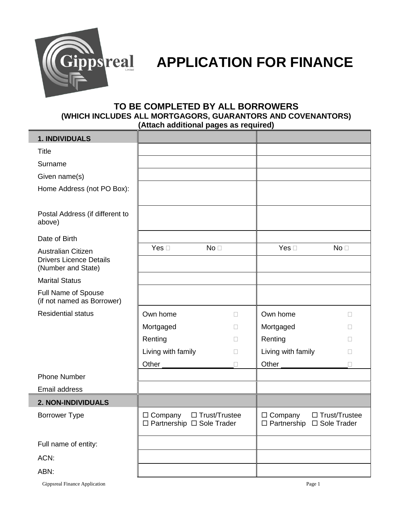

# **ipps real APPLICATION FOR FINANCE**

## **TO BE COMPLETED BY ALL BORROWERS (WHICH INCLUDES ALL MORTGAGORS, GUARANTORS AND COVENANTORS) (Attach additional pages as required)**

| 1. INDIVIDUALS                                                                    |                                                                       |                 |                                                                       |                 |
|-----------------------------------------------------------------------------------|-----------------------------------------------------------------------|-----------------|-----------------------------------------------------------------------|-----------------|
| <b>Title</b>                                                                      |                                                                       |                 |                                                                       |                 |
| Surname                                                                           |                                                                       |                 |                                                                       |                 |
| Given name(s)                                                                     |                                                                       |                 |                                                                       |                 |
| Home Address (not PO Box):                                                        |                                                                       |                 |                                                                       |                 |
| Postal Address (if different to<br>above)                                         |                                                                       |                 |                                                                       |                 |
| Date of Birth                                                                     |                                                                       |                 |                                                                       |                 |
| <b>Australian Citizen</b><br><b>Drivers Licence Details</b><br>(Number and State) | Yes $\square$                                                         | No <sub>1</sub> | Yes $\square$                                                         | No <sub>1</sub> |
| <b>Marital Status</b>                                                             |                                                                       |                 |                                                                       |                 |
| Full Name of Spouse<br>(if not named as Borrower)                                 |                                                                       |                 |                                                                       |                 |
| <b>Residential status</b>                                                         | Own home                                                              | $\Box$          | Own home                                                              | П               |
|                                                                                   | Mortgaged                                                             | П               | Mortgaged                                                             | $\Box$          |
|                                                                                   | Renting                                                               | $\Box$          | Renting                                                               | П               |
|                                                                                   | Living with family                                                    | П               | Living with family                                                    | П               |
|                                                                                   | Other                                                                 | $\Box$          | Other                                                                 | П               |
| <b>Phone Number</b>                                                               |                                                                       |                 |                                                                       |                 |
| Email address                                                                     |                                                                       |                 |                                                                       |                 |
| <b>2. NON-INDIVIDUALS</b>                                                         |                                                                       |                 |                                                                       |                 |
| <b>Borrower Type</b>                                                              | $\Box$ Trust/Trustee<br>$\Box$ Company<br>□ Partnership □ Sole Trader |                 | $\Box$ Trust/Trustee<br>$\Box$ Company<br>□ Partnership □ Sole Trader |                 |
| Full name of entity:                                                              |                                                                       |                 |                                                                       |                 |
| ACN:                                                                              |                                                                       |                 |                                                                       |                 |
| ABN:                                                                              |                                                                       |                 |                                                                       |                 |

Gippsreal Finance Application **Page 1**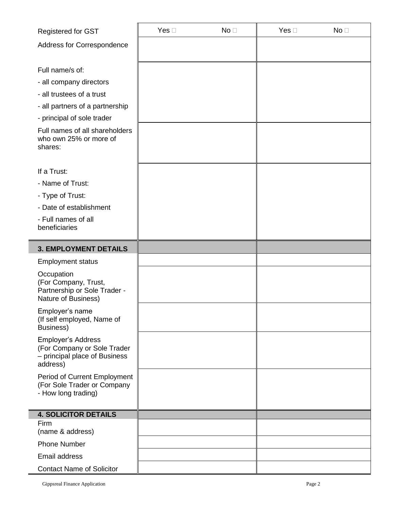| Registered for GST                                                                                                                                                                                              | Yes $\square$ | No <sub>1</sub> | Yes $\square$ | No <sub>1</sub> |
|-----------------------------------------------------------------------------------------------------------------------------------------------------------------------------------------------------------------|---------------|-----------------|---------------|-----------------|
| Address for Correspondence                                                                                                                                                                                      |               |                 |               |                 |
| Full name/s of:<br>- all company directors<br>- all trustees of a trust<br>- all partners of a partnership<br>- principal of sole trader<br>Full names of all shareholders<br>who own 25% or more of<br>shares: |               |                 |               |                 |
| If a Trust:                                                                                                                                                                                                     |               |                 |               |                 |
| - Name of Trust:                                                                                                                                                                                                |               |                 |               |                 |
| - Type of Trust:<br>- Date of establishment                                                                                                                                                                     |               |                 |               |                 |
| - Full names of all<br>beneficiaries                                                                                                                                                                            |               |                 |               |                 |
| <b>3. EMPLOYMENT DETAILS</b>                                                                                                                                                                                    |               |                 |               |                 |
| <b>Employment status</b>                                                                                                                                                                                        |               |                 |               |                 |
| Occupation<br>(For Company, Trust,<br>Partnership or Sole Trader -<br>Nature of Business)                                                                                                                       |               |                 |               |                 |
| Employer's name<br>(If self employed, Name of<br>Business)                                                                                                                                                      |               |                 |               |                 |
| <b>Employer's Address</b><br>(For Company or Sole Trader<br>- principal place of Business<br>address)                                                                                                           |               |                 |               |                 |
| Period of Current Employment<br>(For Sole Trader or Company<br>- How long trading)                                                                                                                              |               |                 |               |                 |
| <b>4. SOLICITOR DETAILS</b>                                                                                                                                                                                     |               |                 |               |                 |
| Firm<br>(name & address)                                                                                                                                                                                        |               |                 |               |                 |
| <b>Phone Number</b>                                                                                                                                                                                             |               |                 |               |                 |
| Email address                                                                                                                                                                                                   |               |                 |               |                 |
| <b>Contact Name of Solicitor</b>                                                                                                                                                                                |               |                 |               |                 |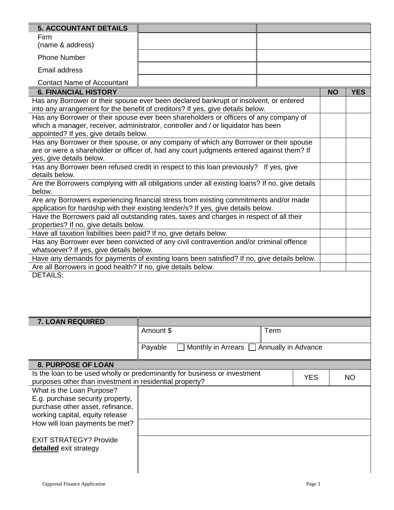| <b>5. ACCOUNTANT DETAILS</b>                                                                                                          |                                                                                                                                                                             |            |           |            |  |
|---------------------------------------------------------------------------------------------------------------------------------------|-----------------------------------------------------------------------------------------------------------------------------------------------------------------------------|------------|-----------|------------|--|
| Firm                                                                                                                                  |                                                                                                                                                                             |            |           |            |  |
| (name & address)                                                                                                                      |                                                                                                                                                                             |            |           |            |  |
| <b>Phone Number</b>                                                                                                                   |                                                                                                                                                                             |            |           |            |  |
| Email address                                                                                                                         |                                                                                                                                                                             |            |           |            |  |
| <b>Contact Name of Accountant</b>                                                                                                     |                                                                                                                                                                             |            |           |            |  |
| <b>6. FINANCIAL HISTORY</b>                                                                                                           |                                                                                                                                                                             |            | <b>NO</b> | <b>YES</b> |  |
|                                                                                                                                       | Has any Borrower or their spouse ever been declared bankrupt or insolvent, or entered                                                                                       |            |           |            |  |
|                                                                                                                                       | into any arrangement for the benefit of creditors? If yes, give details below.<br>Has any Borrower or their spouse ever been shareholders or officers of any company of     |            |           |            |  |
|                                                                                                                                       | which a manager, receiver, administrator, controller and / or liquidator has been                                                                                           |            |           |            |  |
| appointed? If yes, give details below.                                                                                                |                                                                                                                                                                             |            |           |            |  |
|                                                                                                                                       | Has any Borrower or their spouse, or any company of which any Borrower or their spouse                                                                                      |            |           |            |  |
|                                                                                                                                       | are or were a shareholder or officer of, had any court judgments entered against them? If                                                                                   |            |           |            |  |
| yes, give details below.                                                                                                              | Has any Borrower been refused credit in respect to this loan previously? If yes, give                                                                                       |            |           |            |  |
| details below.                                                                                                                        |                                                                                                                                                                             |            |           |            |  |
|                                                                                                                                       | Are the Borrowers complying with all obligations under all existing loans? If no, give details                                                                              |            |           |            |  |
| below.                                                                                                                                |                                                                                                                                                                             |            |           |            |  |
|                                                                                                                                       | Are any Borrowers experiencing financial stress from existing commitments and/or made<br>application for hardship with their existing lender/s? If yes, give details below. |            |           |            |  |
|                                                                                                                                       | Have the Borrowers paid all outstanding rates, taxes and charges in respect of all their                                                                                    |            |           |            |  |
| properties? If no, give details below.                                                                                                |                                                                                                                                                                             |            |           |            |  |
| Have all taxation liabilities been paid? If no, give details below.                                                                   |                                                                                                                                                                             |            |           |            |  |
| Has any Borrower ever been convicted of any civil contravention and/or criminal offence                                               |                                                                                                                                                                             |            |           |            |  |
| whatsoever? If yes, give details below.<br>Have any demands for payments of existing loans been satisfied? If no, give details below. |                                                                                                                                                                             |            |           |            |  |
| Are all Borrowers in good health? If no, give details below.                                                                          |                                                                                                                                                                             |            |           |            |  |
| <b>DETAILS:</b>                                                                                                                       |                                                                                                                                                                             |            |           |            |  |
|                                                                                                                                       |                                                                                                                                                                             |            |           |            |  |
|                                                                                                                                       |                                                                                                                                                                             |            |           |            |  |
|                                                                                                                                       |                                                                                                                                                                             |            |           |            |  |
| 7. LOAN REQUIRED                                                                                                                      |                                                                                                                                                                             |            |           |            |  |
|                                                                                                                                       | Amount \$                                                                                                                                                                   | Term       |           |            |  |
|                                                                                                                                       |                                                                                                                                                                             |            |           |            |  |
| Payable<br>Monthly in Arrears [<br>Annually in Advance                                                                                |                                                                                                                                                                             |            |           |            |  |
| <b>8. PURPOSE OF LOAN</b>                                                                                                             |                                                                                                                                                                             |            |           |            |  |
| Is the loan to be used wholly or predominantly for business or investment                                                             |                                                                                                                                                                             |            |           |            |  |
| purposes other than investment in residential property?                                                                               |                                                                                                                                                                             | <b>YES</b> |           | <b>NO</b>  |  |
| What is the Loan Purpose?                                                                                                             |                                                                                                                                                                             |            |           |            |  |
| E.g. purchase security property,                                                                                                      |                                                                                                                                                                             |            |           |            |  |
| purchase other asset, refinance,<br>working capital, equity release                                                                   |                                                                                                                                                                             |            |           |            |  |
| How will loan payments be met?                                                                                                        |                                                                                                                                                                             |            |           |            |  |
|                                                                                                                                       |                                                                                                                                                                             |            |           |            |  |
| <b>EXIT STRATEGY? Provide</b>                                                                                                         |                                                                                                                                                                             |            |           |            |  |
| detailed exit strategy                                                                                                                |                                                                                                                                                                             |            |           |            |  |
|                                                                                                                                       |                                                                                                                                                                             |            |           |            |  |
|                                                                                                                                       |                                                                                                                                                                             |            |           |            |  |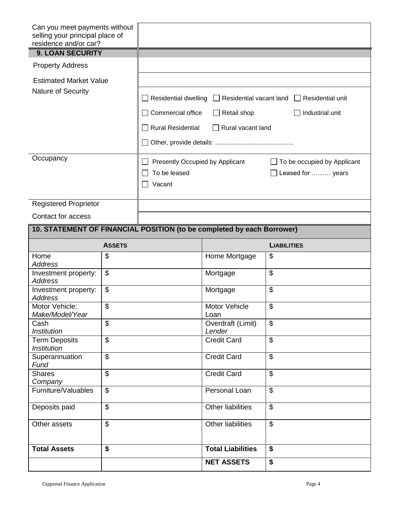| Can you meet payments without<br>selling your principal place of<br>residence and/or car? |                           |                                                                                                                                                                                                                               |                             |                             |  |
|-------------------------------------------------------------------------------------------|---------------------------|-------------------------------------------------------------------------------------------------------------------------------------------------------------------------------------------------------------------------------|-----------------------------|-----------------------------|--|
| <b>9. LOAN SECURITY</b>                                                                   |                           |                                                                                                                                                                                                                               |                             |                             |  |
| <b>Property Address</b>                                                                   |                           |                                                                                                                                                                                                                               |                             |                             |  |
| <b>Estimated Market Value</b><br>Nature of Security                                       |                           | Residential dwelling<br>$\Box$ Residential vacant land<br>$\Box$ Residential unit<br>Commercial office<br>Retail shop<br>Industrial unit<br><b>Rural Residential</b><br>Rural vacant land<br>$\blacksquare$<br>$\blacksquare$ |                             |                             |  |
| Occupancy                                                                                 |                           | Presently Occupied by Applicant<br>$\blacksquare$<br>To be leased<br>Leased for  years<br>Vacant                                                                                                                              |                             | To be occupied by Applicant |  |
| <b>Registered Proprietor</b>                                                              |                           |                                                                                                                                                                                                                               |                             |                             |  |
| Contact for access                                                                        |                           |                                                                                                                                                                                                                               |                             |                             |  |
| 10. STATEMENT OF FINANCIAL POSITION (to be completed by each Borrower)                    |                           |                                                                                                                                                                                                                               |                             |                             |  |
|                                                                                           | <b>ASSETS</b>             |                                                                                                                                                                                                                               |                             | <b>LIABILITIES</b>          |  |
| Home<br><b>Address</b>                                                                    | \$                        |                                                                                                                                                                                                                               | Home Mortgage               | \$                          |  |
| Investment property:<br><b>Address</b>                                                    | \$                        |                                                                                                                                                                                                                               | Mortgage                    | $\boldsymbol{\mathsf{S}}$   |  |
| Investment property:<br><b>Address</b>                                                    | \$                        |                                                                                                                                                                                                                               | Mortgage                    | $\mathfrak{S}$              |  |
| Motor Vehicle:<br>Make/Model/Year                                                         | \$                        |                                                                                                                                                                                                                               | Motor Vehicle<br>Loan       | \$                          |  |
| Cash<br><b>Institution</b>                                                                | \$                        |                                                                                                                                                                                                                               | Overdraft (Limit)<br>Lender | $\mathfrak{S}$              |  |
| <b>Term Deposits</b><br><b>Institution</b>                                                | \$                        |                                                                                                                                                                                                                               | <b>Credit Card</b>          | $\mathfrak{S}$              |  |
| Superannuation<br>Fund                                                                    | \$                        |                                                                                                                                                                                                                               | <b>Credit Card</b>          | $\mathfrak{S}$              |  |
| <b>Shares</b><br>Company                                                                  | \$                        |                                                                                                                                                                                                                               | <b>Credit Card</b>          | $\boldsymbol{\mathsf{S}}$   |  |
| Furniture/Valuables                                                                       | \$                        |                                                                                                                                                                                                                               | Personal Loan               | $\boldsymbol{\mathsf{S}}$   |  |
| Deposits paid                                                                             | $\overline{\mathcal{G}}$  |                                                                                                                                                                                                                               | <b>Other liabilities</b>    | $\mathfrak{S}$              |  |
| Other assets                                                                              | $\boldsymbol{\mathsf{S}}$ |                                                                                                                                                                                                                               | <b>Other liabilities</b>    | $\boldsymbol{\mathsf{S}}$   |  |
| <b>Total Assets</b>                                                                       | \$                        |                                                                                                                                                                                                                               | <b>Total Liabilities</b>    | \$                          |  |
|                                                                                           |                           |                                                                                                                                                                                                                               | <b>NET ASSETS</b>           | \$                          |  |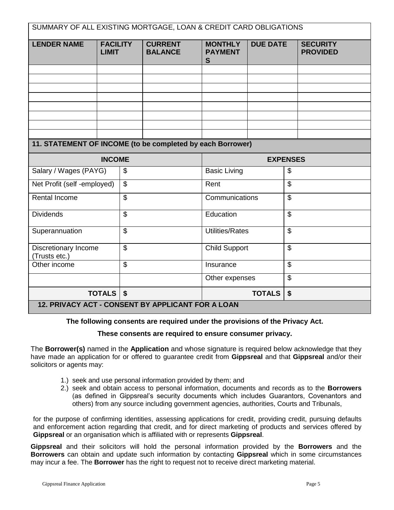| SUMMARY OF ALL EXISTING MORTGAGE, LOAN & CREDIT CARD OBLIGATIONS |                                 |                          |                                  |                                            |                 |                                    |  |
|------------------------------------------------------------------|---------------------------------|--------------------------|----------------------------------|--------------------------------------------|-----------------|------------------------------------|--|
| <b>LENDER NAME</b>                                               | <b>FACILITY</b><br><b>LIMIT</b> |                          | <b>CURRENT</b><br><b>BALANCE</b> | <b>MONTHLY</b><br><b>PAYMENT</b><br>S      | <b>DUE DATE</b> | <b>SECURITY</b><br><b>PROVIDED</b> |  |
|                                                                  |                                 |                          |                                  |                                            |                 |                                    |  |
|                                                                  |                                 |                          |                                  |                                            |                 |                                    |  |
|                                                                  |                                 |                          |                                  |                                            |                 |                                    |  |
|                                                                  |                                 |                          |                                  |                                            |                 |                                    |  |
|                                                                  |                                 |                          |                                  |                                            |                 |                                    |  |
|                                                                  |                                 |                          |                                  |                                            |                 |                                    |  |
| 11. STATEMENT OF INCOME (to be completed by each Borrower)       |                                 |                          |                                  |                                            |                 |                                    |  |
|                                                                  |                                 |                          |                                  |                                            |                 |                                    |  |
| <b>INCOME</b>                                                    |                                 |                          | <b>EXPENSES</b>                  |                                            |                 |                                    |  |
| Salary / Wages (PAYG)                                            |                                 | \$                       |                                  | <b>Basic Living</b><br>\$                  |                 |                                    |  |
| Net Profit (self -employed)                                      | $\mathfrak{S}$                  |                          |                                  | Rent                                       |                 | $\mathfrak{L}$                     |  |
| <b>Rental Income</b>                                             |                                 | $\overline{\mathcal{S}}$ |                                  | Communications                             |                 | $\overline{\mathcal{S}}$           |  |
| <b>Dividends</b>                                                 |                                 | $\overline{\mathcal{S}}$ |                                  | Education                                  |                 | $\overline{\mathcal{G}}$           |  |
| Superannuation                                                   |                                 | $\overline{\mathcal{G}}$ |                                  | <b>Utilities/Rates</b>                     |                 | \$                                 |  |
| Discretionary Income<br>(Trusts etc.)                            |                                 | $\mathfrak{S}$           |                                  | <b>Child Support</b>                       |                 | $\mathfrak{L}$                     |  |
| Other income                                                     |                                 | $\overline{\mathcal{S}}$ |                                  | Insurance                                  |                 | \$                                 |  |
|                                                                  |                                 |                          | Other expenses                   |                                            | \$              |                                    |  |
| TOTALS   \$                                                      |                                 |                          |                                  | $\boldsymbol{\mathsf{s}}$<br><b>TOTALS</b> |                 |                                    |  |
| 12. PRIVACY ACT - CONSENT BY APPLICANT FOR A LOAN                |                                 |                          |                                  |                                            |                 |                                    |  |

**The following consents are required under the provisions of the Privacy Act.** 

#### **These consents are required to ensure consumer privacy.**

The **Borrower(s)** named in the **Application** and whose signature is required below acknowledge that they have made an application for or offered to guarantee credit from **Gippsreal** and that **Gippsreal** and/or their solicitors or agents may:

- 1.) seek and use personal information provided by them; and
- 2.) seek and obtain access to personal information, documents and records as to the **Borrowers** (as defined in Gippsreal's security documents which includes Guarantors, Covenantors and others) from any source including government agencies, authorities, Courts and Tribunals,

for the purpose of confirming identities, assessing applications for credit, providing credit, pursuing defaults and enforcement action regarding that credit, and for direct marketing of products and services offered by **Gippsreal** or an organisation which is affiliated with or represents **Gippsreal**.

**Gippsreal** and their solicitors will hold the personal information provided by the **Borrowers** and the **Borrowers** can obtain and update such information by contacting **Gippsreal** which in some circumstances may incur a fee. The **Borrower** has the right to request not to receive direct marketing material.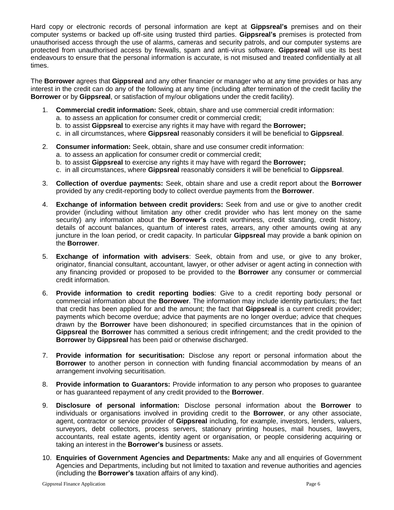Hard copy or electronic records of personal information are kept at **Gippsreal's** premises and on their computer systems or backed up off-site using trusted third parties. **Gippsreal's** premises is protected from unauthorised access through the use of alarms, cameras and security patrols, and our computer systems are protected from unauthorised access by firewalls, spam and anti-virus software. **Gippsreal** will use its best endeavours to ensure that the personal information is accurate, is not misused and treated confidentially at all times.

The **Borrower** agrees that **Gippsreal** and any other financier or manager who at any time provides or has any interest in the credit can do any of the following at any time (including after termination of the credit facility the **Borrower** or by **Gippsreal**, or satisfaction of my/our obligations under the credit facility).

- 1. **Commercial credit information:** Seek, obtain, share and use commercial credit information:
	- a. to assess an application for consumer credit or commercial credit;
	- b. to assist **Gippsreal** to exercise any rights it may have with regard the **Borrower;**
	- c. in all circumstances, where **Gippsreal** reasonably considers it will be beneficial to **Gippsreal**.
- 2. **Consumer information:** Seek, obtain, share and use consumer credit information:
	- a. to assess an application for consumer credit or commercial credit;
	- b. to assist **Gippsreal** to exercise any rights it may have with regard the **Borrower;**
	- c. in all circumstances, where **Gippsreal** reasonably considers it will be beneficial to **Gippsreal**.
- 3. **Collection of overdue payments:** Seek, obtain share and use a credit report about the **Borrower**  provided by any credit-reporting body to collect overdue payments from the **Borrower**.
- 4. **Exchange of information between credit providers:** Seek from and use or give to another credit provider (including without limitation any other credit provider who has lent money on the same security) any information about the **Borrower's** credit worthiness, credit standing, credit history*,*  details of account balances, quantum of interest rates, arrears, any other amounts owing at any juncture in the loan period, or credit capacity. In particular **Gippsreal** may provide a bank opinion on the **Borrower**.
- 5. **Exchange of information with advisers**: Seek, obtain from and use, or give to any broker, originator, financial consultant, accountant, lawyer, or other adviser or agent acting in connection with any financing provided or proposed to be provided to the **Borrower** any consumer or commercial credit information.
- 6. **Provide information to credit reporting bodies**: Give to a credit reporting body personal or commercial information about the **Borrower**. The information may include identity particulars; the fact that credit has been applied for and the amount; the fact that **Gippsreal** is a current credit provider; payments which become overdue; advice that payments are no longer overdue; advice that cheques drawn by the **Borrower** have been dishonoured; in specified circumstances that in the opinion of **Gippsreal** the **Borrower** has committed a serious credit infringement; and the credit provided to the **Borrower** by **Gippsreal** has been paid or otherwise discharged.
- 7. **Provide information for securitisation:** Disclose any report or personal information about the **Borrower** to another person in connection with funding financial accommodation by means of an arrangement involving securitisation.
- 8. **Provide information to Guarantors:** Provide information to any person who proposes to guarantee or has guaranteed repayment of any credit provided to the **Borrower**.
- 9. **Disclosure of personal information:** Disclose personal information about the **Borrower** to individuals or organisations involved in providing credit to the **Borrower**, or any other associate, agent, contractor or service provider of **Gippsreal** including, for example, investors, lenders, valuers, surveyors, debt collectors, process servers, stationary printing houses, mail houses, lawyers, accountants, real estate agents, identity agent or organisation, or people considering acquiring or taking an interest in the **Borrower's** business or assets.
- 10. **Enquiries of Government Agencies and Departments:** Make any and all enquiries of Government Agencies and Departments, including but not limited to taxation and revenue authorities and agencies (including the **Borrower's** taxation affairs of any kind).